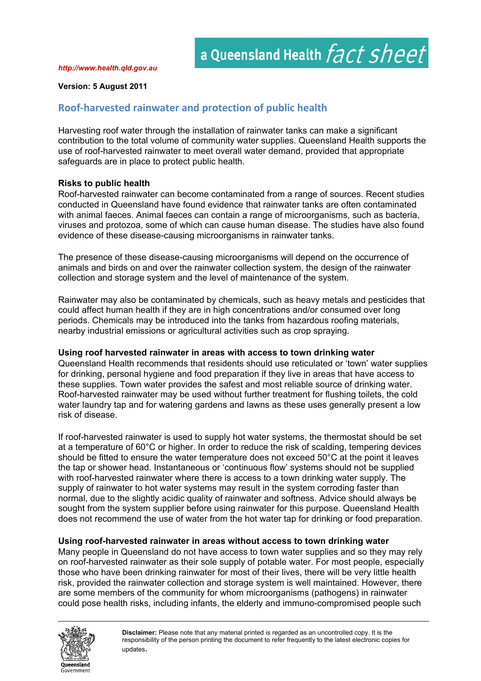#### *http://www.health.qld.gov.au*

### **Version: 5 August 2011**

# **Roof‐harvested rainwater and protection of public health**

Harvesting roof water through the installation of rainwater tanks can make a significant contribution to the total volume of community water supplies. Queensland Health supports the use of roof-harvested rainwater to meet overall water demand, provided that appropriate safeguards are in place to protect public health.

## **Risks to public health**

Roof-harvested rainwater can become contaminated from a range of sources. Recent studies conducted in Queensland have found evidence that rainwater tanks are often contaminated with animal faeces. Animal faeces can contain a range of microorganisms, such as bacteria, viruses and protozoa, some of which can cause human disease. The studies have also found evidence of these disease-causing microorganisms in rainwater tanks.

The presence of these disease-causing microorganisms will depend on the occurrence of animals and birds on and over the rainwater collection system, the design of the rainwater collection and storage system and the level of maintenance of the system.

Rainwater may also be contaminated by chemicals, such as heavy metals and pesticides that could affect human health if they are in high concentrations and/or consumed over long periods. Chemicals may be introduced into the tanks from hazardous roofing materials, nearby industrial emissions or agricultural activities such as crop spraying.

### **Using roof harvested rainwater in areas with access to town drinking water**

Queensland Health recommends that residents should use reticulated or 'town' water supplies for drinking, personal hygiene and food preparation if they live in areas that have access to these supplies. Town water provides the safest and most reliable source of drinking water. Roof-harvested rainwater may be used without further treatment for flushing toilets, the cold water laundry tap and for watering gardens and lawns as these uses generally present a low risk of disease.

If roof-harvested rainwater is used to supply hot water systems, the thermostat should be set at a temperature of 60°C or higher. In order to reduce the risk of scalding, tempering devices should be fitted to ensure the water temperature does not exceed 50°C at the point it leaves the tap or shower head. Instantaneous or 'continuous flow' systems should not be supplied with roof-harvested rainwater where there is access to a town drinking water supply. The supply of rainwater to hot water systems may result in the system corroding faster than normal, due to the slightly acidic quality of rainwater and softness. Advice should always be sought from the system supplier before using rainwater for this purpose. Queensland Health does not recommend the use of water from the hot water tap for drinking or food preparation.

## **Using roof-harvested rainwater in areas without access to town drinking water**

Many people in Queensland do not have access to town water supplies and so they may rely on roof-harvested rainwater as their sole supply of potable water. For most people, especially those who have been drinking rainwater for most of their lives, there will be very little health risk, provided the rainwater collection and storage system is well maintained. However, there are some members of the community for whom microorganisms (pathogens) in rainwater could pose health risks, including infants, the elderly and immuno-compromised people such